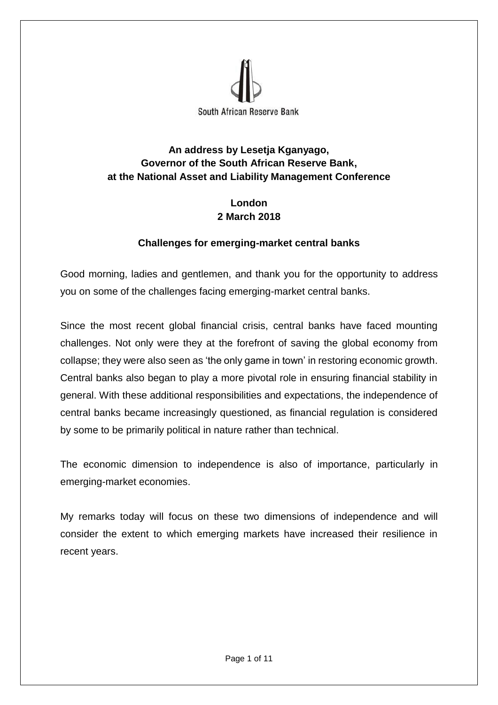

# **An address by Lesetja Kganyago, Governor of the South African Reserve Bank, at the National Asset and Liability Management Conference**

**London 2 March 2018**

### **Challenges for emerging-market central banks**

Good morning, ladies and gentlemen, and thank you for the opportunity to address you on some of the challenges facing emerging-market central banks.

Since the most recent global financial crisis, central banks have faced mounting challenges. Not only were they at the forefront of saving the global economy from collapse; they were also seen as 'the only game in town' in restoring economic growth. Central banks also began to play a more pivotal role in ensuring financial stability in general. With these additional responsibilities and expectations, the independence of central banks became increasingly questioned, as financial regulation is considered by some to be primarily political in nature rather than technical.

The economic dimension to independence is also of importance, particularly in emerging-market economies.

My remarks today will focus on these two dimensions of independence and will consider the extent to which emerging markets have increased their resilience in recent years.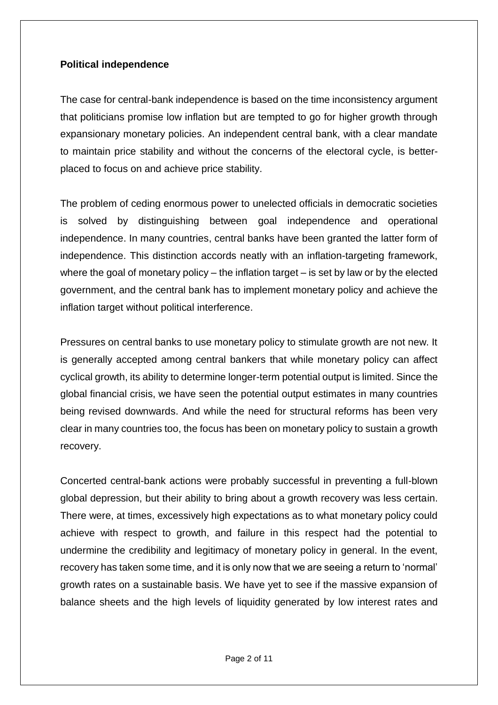### **Political independence**

The case for central-bank independence is based on the time inconsistency argument that politicians promise low inflation but are tempted to go for higher growth through expansionary monetary policies. An independent central bank, with a clear mandate to maintain price stability and without the concerns of the electoral cycle, is betterplaced to focus on and achieve price stability.

The problem of ceding enormous power to unelected officials in democratic societies is solved by distinguishing between goal independence and operational independence. In many countries, central banks have been granted the latter form of independence. This distinction accords neatly with an inflation-targeting framework, where the goal of monetary policy – the inflation target – is set by law or by the elected government, and the central bank has to implement monetary policy and achieve the inflation target without political interference.

Pressures on central banks to use monetary policy to stimulate growth are not new. It is generally accepted among central bankers that while monetary policy can affect cyclical growth, its ability to determine longer-term potential output is limited. Since the global financial crisis, we have seen the potential output estimates in many countries being revised downwards. And while the need for structural reforms has been very clear in many countries too, the focus has been on monetary policy to sustain a growth recovery.

Concerted central-bank actions were probably successful in preventing a full-blown global depression, but their ability to bring about a growth recovery was less certain. There were, at times, excessively high expectations as to what monetary policy could achieve with respect to growth, and failure in this respect had the potential to undermine the credibility and legitimacy of monetary policy in general. In the event, recovery has taken some time, and it is only now that we are seeing a return to 'normal' growth rates on a sustainable basis. We have yet to see if the massive expansion of balance sheets and the high levels of liquidity generated by low interest rates and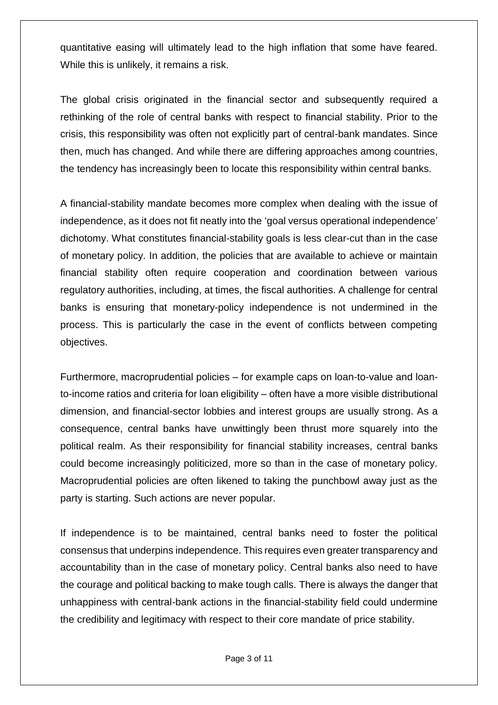quantitative easing will ultimately lead to the high inflation that some have feared. While this is unlikely, it remains a risk.

The global crisis originated in the financial sector and subsequently required a rethinking of the role of central banks with respect to financial stability. Prior to the crisis, this responsibility was often not explicitly part of central-bank mandates. Since then, much has changed. And while there are differing approaches among countries, the tendency has increasingly been to locate this responsibility within central banks.

A financial-stability mandate becomes more complex when dealing with the issue of independence, as it does not fit neatly into the 'goal versus operational independence' dichotomy. What constitutes financial-stability goals is less clear-cut than in the case of monetary policy. In addition, the policies that are available to achieve or maintain financial stability often require cooperation and coordination between various regulatory authorities, including, at times, the fiscal authorities. A challenge for central banks is ensuring that monetary-policy independence is not undermined in the process. This is particularly the case in the event of conflicts between competing objectives.

Furthermore, macroprudential policies – for example caps on loan-to-value and loanto-income ratios and criteria for loan eligibility – often have a more visible distributional dimension, and financial-sector lobbies and interest groups are usually strong. As a consequence, central banks have unwittingly been thrust more squarely into the political realm. As their responsibility for financial stability increases, central banks could become increasingly politicized, more so than in the case of monetary policy. Macroprudential policies are often likened to taking the punchbowl away just as the party is starting. Such actions are never popular.

If independence is to be maintained, central banks need to foster the political consensus that underpins independence. This requires even greater transparency and accountability than in the case of monetary policy. Central banks also need to have the courage and political backing to make tough calls. There is always the danger that unhappiness with central-bank actions in the financial-stability field could undermine the credibility and legitimacy with respect to their core mandate of price stability.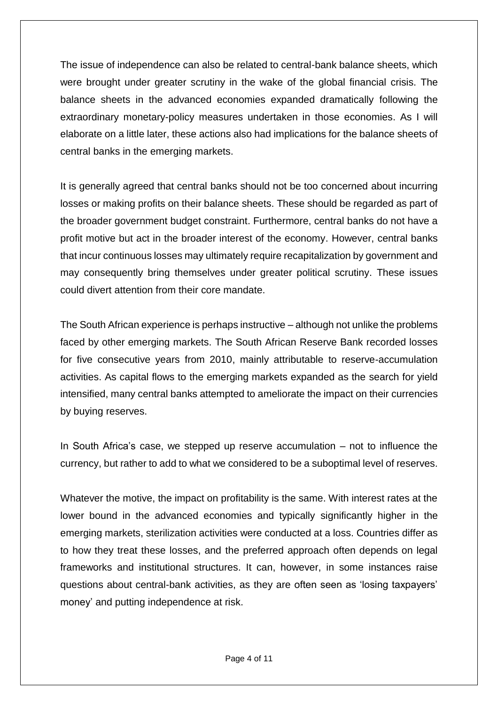The issue of independence can also be related to central-bank balance sheets, which were brought under greater scrutiny in the wake of the global financial crisis. The balance sheets in the advanced economies expanded dramatically following the extraordinary monetary-policy measures undertaken in those economies. As I will elaborate on a little later, these actions also had implications for the balance sheets of central banks in the emerging markets.

It is generally agreed that central banks should not be too concerned about incurring losses or making profits on their balance sheets. These should be regarded as part of the broader government budget constraint. Furthermore, central banks do not have a profit motive but act in the broader interest of the economy. However, central banks that incur continuous losses may ultimately require recapitalization by government and may consequently bring themselves under greater political scrutiny. These issues could divert attention from their core mandate.

The South African experience is perhaps instructive – although not unlike the problems faced by other emerging markets. The South African Reserve Bank recorded losses for five consecutive years from 2010, mainly attributable to reserve-accumulation activities. As capital flows to the emerging markets expanded as the search for yield intensified, many central banks attempted to ameliorate the impact on their currencies by buying reserves.

In South Africa's case, we stepped up reserve accumulation – not to influence the currency, but rather to add to what we considered to be a suboptimal level of reserves.

Whatever the motive, the impact on profitability is the same. With interest rates at the lower bound in the advanced economies and typically significantly higher in the emerging markets, sterilization activities were conducted at a loss. Countries differ as to how they treat these losses, and the preferred approach often depends on legal frameworks and institutional structures. It can, however, in some instances raise questions about central-bank activities, as they are often seen as 'losing taxpayers' money' and putting independence at risk.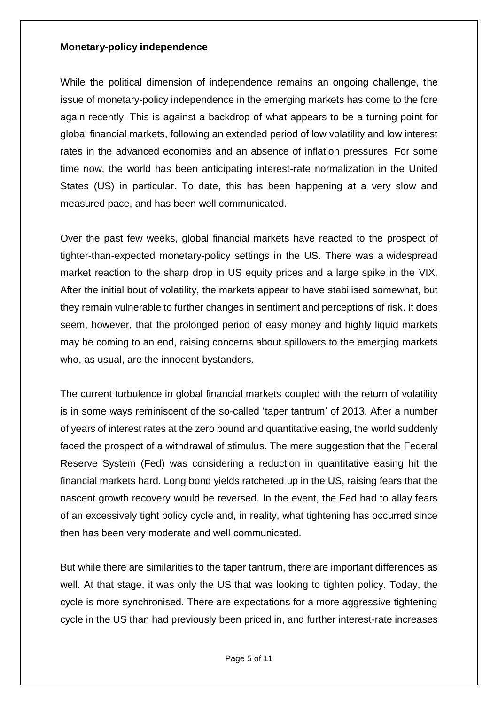#### **Monetary-policy independence**

While the political dimension of independence remains an ongoing challenge, the issue of monetary-policy independence in the emerging markets has come to the fore again recently. This is against a backdrop of what appears to be a turning point for global financial markets, following an extended period of low volatility and low interest rates in the advanced economies and an absence of inflation pressures. For some time now, the world has been anticipating interest-rate normalization in the United States (US) in particular. To date, this has been happening at a very slow and measured pace, and has been well communicated.

Over the past few weeks, global financial markets have reacted to the prospect of tighter-than-expected monetary-policy settings in the US. There was a widespread market reaction to the sharp drop in US equity prices and a large spike in the VIX. After the initial bout of volatility, the markets appear to have stabilised somewhat, but they remain vulnerable to further changes in sentiment and perceptions of risk. It does seem, however, that the prolonged period of easy money and highly liquid markets may be coming to an end, raising concerns about spillovers to the emerging markets who, as usual, are the innocent bystanders.

The current turbulence in global financial markets coupled with the return of volatility is in some ways reminiscent of the so-called 'taper tantrum' of 2013. After a number of years of interest rates at the zero bound and quantitative easing, the world suddenly faced the prospect of a withdrawal of stimulus. The mere suggestion that the Federal Reserve System (Fed) was considering a reduction in quantitative easing hit the financial markets hard. Long bond yields ratcheted up in the US, raising fears that the nascent growth recovery would be reversed. In the event, the Fed had to allay fears of an excessively tight policy cycle and, in reality, what tightening has occurred since then has been very moderate and well communicated.

But while there are similarities to the taper tantrum, there are important differences as well. At that stage, it was only the US that was looking to tighten policy. Today, the cycle is more synchronised. There are expectations for a more aggressive tightening cycle in the US than had previously been priced in, and further interest-rate increases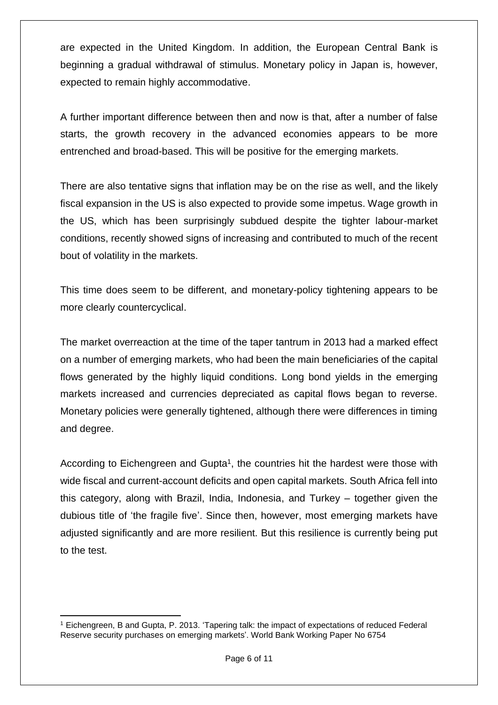are expected in the United Kingdom. In addition, the European Central Bank is beginning a gradual withdrawal of stimulus. Monetary policy in Japan is, however, expected to remain highly accommodative.

A further important difference between then and now is that, after a number of false starts, the growth recovery in the advanced economies appears to be more entrenched and broad-based. This will be positive for the emerging markets.

There are also tentative signs that inflation may be on the rise as well, and the likely fiscal expansion in the US is also expected to provide some impetus. Wage growth in the US, which has been surprisingly subdued despite the tighter labour-market conditions, recently showed signs of increasing and contributed to much of the recent bout of volatility in the markets.

This time does seem to be different, and monetary-policy tightening appears to be more clearly countercyclical.

The market overreaction at the time of the taper tantrum in 2013 had a marked effect on a number of emerging markets, who had been the main beneficiaries of the capital flows generated by the highly liquid conditions. Long bond yields in the emerging markets increased and currencies depreciated as capital flows began to reverse. Monetary policies were generally tightened, although there were differences in timing and degree.

According to Eichengreen and Gupta<sup>1</sup>, the countries hit the hardest were those with wide fiscal and current-account deficits and open capital markets. South Africa fell into this category, along with Brazil, India, Indonesia, and Turkey – together given the dubious title of 'the fragile five'. Since then, however, most emerging markets have adjusted significantly and are more resilient. But this resilience is currently being put to the test.

 $\overline{a}$ <sup>1</sup> Eichengreen, B and Gupta, P. 2013. 'Tapering talk: the impact of [expectations](http://emlab.berkeley.edu/~eichengr/tapering_talk_12-16-13.pdf) of reduced Federal Reserve security [purchases](http://emlab.berkeley.edu/~eichengr/tapering_talk_12-16-13.pdf) on emerging markets'. World Bank Working Paper No 6754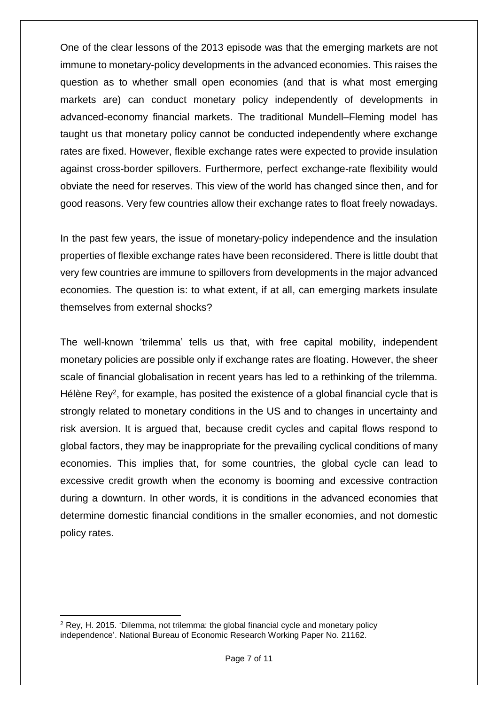One of the clear lessons of the 2013 episode was that the emerging markets are not immune to monetary-policy developments in the advanced economies. This raises the question as to whether small open economies (and that is what most emerging markets are) can conduct monetary policy independently of developments in advanced-economy financial markets. The traditional Mundell–Fleming model has taught us that monetary policy cannot be conducted independently where exchange rates are fixed. However, flexible exchange rates were expected to provide insulation against cross-border spillovers. Furthermore, perfect exchange-rate flexibility would obviate the need for reserves. This view of the world has changed since then, and for good reasons. Very few countries allow their exchange rates to float freely nowadays.

In the past few years, the issue of monetary-policy independence and the insulation properties of flexible exchange rates have been reconsidered. There is little doubt that very few countries are immune to spillovers from developments in the major advanced economies. The question is: to what extent, if at all, can emerging markets insulate themselves from external shocks?

The well-known 'trilemma' tells us that, with free capital mobility, independent monetary policies are possible only if exchange rates are floating. However, the sheer scale of financial globalisation in recent years has led to a rethinking of the trilemma. Hélène Rey<sup>2</sup>, for example, has posited the existence of a global financial cycle that is strongly related to monetary conditions in the US and to changes in uncertainty and risk aversion. It is argued that, because credit cycles and capital flows respond to global factors, they may be inappropriate for the prevailing cyclical conditions of many economies. This implies that, for some countries, the global cycle can lead to excessive credit growth when the economy is booming and excessive contraction during a downturn. In other words, it is conditions in the advanced economies that determine domestic financial conditions in the smaller economies, and not domestic policy rates.

 $\overline{a}$ <sup>2</sup> Rey, H. 2015. 'Dilemma, not trilemma: the global financial cycle and monetary policy independence'. National Bureau of Economic Research Working Paper No. 21162.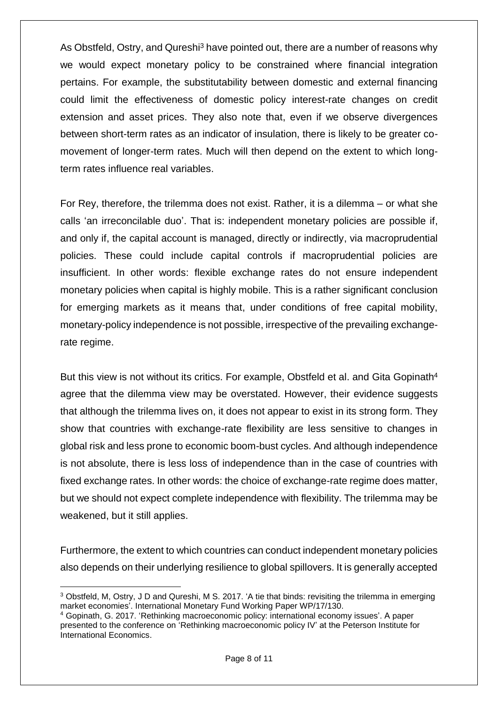As Obstfeld, Ostry, and Qureshi<sup>3</sup> have pointed out, there are a number of reasons why we would expect monetary policy to be constrained where financial integration pertains. For example, the substitutability between domestic and external financing could limit the effectiveness of domestic policy interest-rate changes on credit extension and asset prices. They also note that, even if we observe divergences between short-term rates as an indicator of insulation, there is likely to be greater comovement of longer-term rates. Much will then depend on the extent to which longterm rates influence real variables.

For Rey, therefore, the trilemma does not exist. Rather, it is a dilemma – or what she calls 'an irreconcilable duo'. That is: independent monetary policies are possible if, and only if, the capital account is managed, directly or indirectly, via macroprudential policies. These could include capital controls if macroprudential policies are insufficient. In other words: flexible exchange rates do not ensure independent monetary policies when capital is highly mobile. This is a rather significant conclusion for emerging markets as it means that, under conditions of free capital mobility, monetary-policy independence is not possible, irrespective of the prevailing exchangerate regime.

But this view is not without its critics. For example, Obstfeld et al. and Gita Gopinath<sup>4</sup> agree that the dilemma view may be overstated. However, their evidence suggests that although the trilemma lives on, it does not appear to exist in its strong form. They show that countries with exchange-rate flexibility are less sensitive to changes in global risk and less prone to economic boom-bust cycles. And although independence is not absolute, there is less loss of independence than in the case of countries with fixed exchange rates. In other words: the choice of exchange-rate regime does matter, but we should not expect complete independence with flexibility. The trilemma may be weakened, but it still applies.

Furthermore, the extent to which countries can conduct independent monetary policies also depends on their underlying resilience to global spillovers. It is generally accepted

 $\overline{a}$ <sup>3</sup> Obstfeld, M, Ostry, J D and Qureshi, M S. 2017. 'A tie that binds: revisiting the trilemma in emerging market economies'. International Monetary Fund Working Paper WP/17/130.

<sup>4</sup> Gopinath, G. 2017. 'Rethinking macroeconomic policy: international economy issues'. A paper presented to the conference on 'Rethinking macroeconomic policy IV' at the Peterson Institute for International Economics.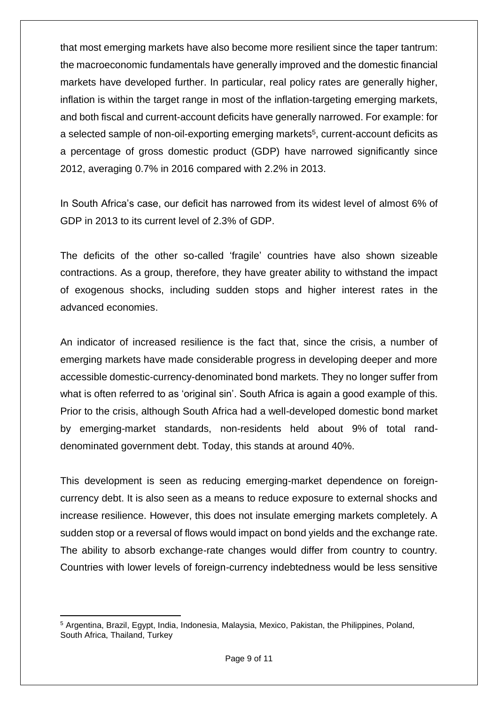that most emerging markets have also become more resilient since the taper tantrum: the macroeconomic fundamentals have generally improved and the domestic financial markets have developed further. In particular, real policy rates are generally higher, inflation is within the target range in most of the inflation-targeting emerging markets, and both fiscal and current-account deficits have generally narrowed. For example: for a selected sample of non-oil-exporting emerging markets<sup>5</sup>, current-account deficits as a percentage of gross domestic product (GDP) have narrowed significantly since 2012, averaging 0.7% in 2016 compared with 2.2% in 2013.

In South Africa's case, our deficit has narrowed from its widest level of almost 6% of GDP in 2013 to its current level of 2.3% of GDP.

The deficits of the other so-called 'fragile' countries have also shown sizeable contractions. As a group, therefore, they have greater ability to withstand the impact of exogenous shocks, including sudden stops and higher interest rates in the advanced economies.

An indicator of increased resilience is the fact that, since the crisis, a number of emerging markets have made considerable progress in developing deeper and more accessible domestic-currency-denominated bond markets. They no longer suffer from what is often referred to as 'original sin'. South Africa is again a good example of this. Prior to the crisis, although South Africa had a well-developed domestic bond market by emerging-market standards, non-residents held about 9% of total randdenominated government debt. Today, this stands at around 40%.

This development is seen as reducing emerging-market dependence on foreigncurrency debt. It is also seen as a means to reduce exposure to external shocks and increase resilience. However, this does not insulate emerging markets completely. A sudden stop or a reversal of flows would impact on bond yields and the exchange rate. The ability to absorb exchange-rate changes would differ from country to country. Countries with lower levels of foreign-currency indebtedness would be less sensitive

 $\overline{a}$ <sup>5</sup> Argentina, Brazil, Egypt, India, Indonesia, Malaysia, Mexico, Pakistan, the Philippines, Poland, South Africa, Thailand, Turkey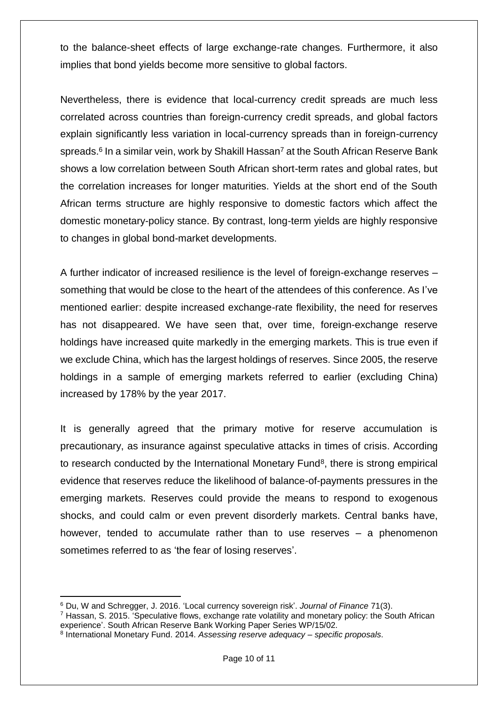to the balance-sheet effects of large exchange-rate changes. Furthermore, it also implies that bond yields become more sensitive to global factors.

Nevertheless, there is evidence that local-currency credit spreads are much less correlated across countries than foreign-currency credit spreads, and global factors explain significantly less variation in local-currency spreads than in foreign-currency spreads.<sup>6</sup> In a similar vein, work by Shakill Hassan<sup>7</sup> at the South African Reserve Bank shows a low correlation between South African short-term rates and global rates, but the correlation increases for longer maturities. Yields at the short end of the South African terms structure are highly responsive to domestic factors which affect the domestic monetary-policy stance. By contrast, long-term yields are highly responsive to changes in global bond-market developments.

A further indicator of increased resilience is the level of foreign-exchange reserves – something that would be close to the heart of the attendees of this conference. As I've mentioned earlier: despite increased exchange-rate flexibility, the need for reserves has not disappeared. We have seen that, over time, foreign-exchange reserve holdings have increased quite markedly in the emerging markets. This is true even if we exclude China, which has the largest holdings of reserves. Since 2005, the reserve holdings in a sample of emerging markets referred to earlier (excluding China) increased by 178% by the year 2017.

It is generally agreed that the primary motive for reserve accumulation is precautionary, as insurance against speculative attacks in times of crisis. According to research conducted by the International Monetary Fund<sup>8</sup>, there is strong empirical evidence that reserves reduce the likelihood of balance-of-payments pressures in the emerging markets. Reserves could provide the means to respond to exogenous shocks, and could calm or even prevent disorderly markets. Central banks have, however, tended to accumulate rather than to use reserves – a phenomenon sometimes referred to as 'the fear of losing reserves'.

 $\overline{a}$ <sup>6</sup> Du, W and Schregger, J. 2016. 'Local currency sovereign risk'. *Journal of Finance* 71(3).

<sup>7</sup> Hassan, S. 2015. 'Speculative flows, exchange rate volatility and monetary policy: the South African experience'. South African Reserve Bank Working Paper Series WP/15/02.

<sup>8</sup> International Monetary Fund. 2014. *Assessing reserve adequacy – specific proposals*.